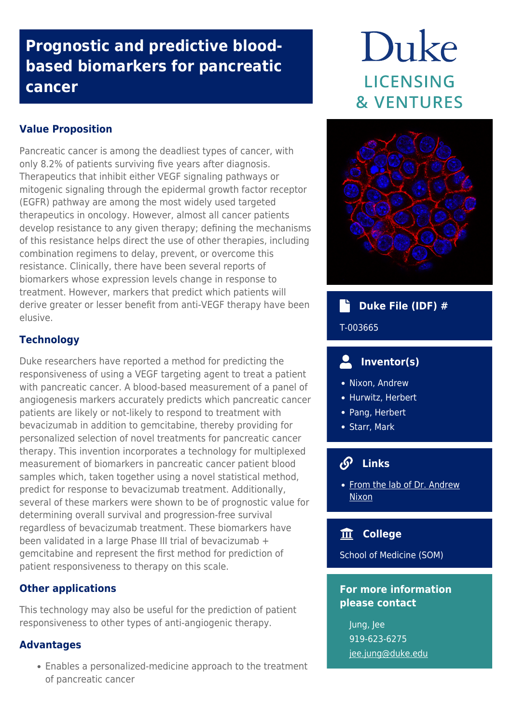## **Prognostic and predictive bloodbased biomarkers for pancreatic cancer**

#### **Value Proposition**

Pancreatic cancer is among the deadliest types of cancer, with only 8.2% of patients surviving five years after diagnosis. Therapeutics that inhibit either VEGF signaling pathways or mitogenic signaling through the epidermal growth factor receptor (EGFR) pathway are among the most widely used targeted therapeutics in oncology. However, almost all cancer patients develop resistance to any given therapy; defining the mechanisms of this resistance helps direct the use of other therapies, including combination regimens to delay, prevent, or overcome this resistance. Clinically, there have been several reports of biomarkers whose expression levels change in response to treatment. However, markers that predict which patients will derive greater or lesser benefit from anti-VEGF therapy have been elusive.

#### **Technology**

Duke researchers have reported a method for predicting the responsiveness of using a VEGF targeting agent to treat a patient with pancreatic cancer. A blood-based measurement of a panel of angiogenesis markers accurately predicts which pancreatic cancer patients are likely or not-likely to respond to treatment with bevacizumab in addition to gemcitabine, thereby providing for personalized selection of novel treatments for pancreatic cancer therapy. This invention incorporates a technology for multiplexed measurement of biomarkers in pancreatic cancer patient blood samples which, taken together using a novel statistical method, predict for response to bevacizumab treatment. Additionally, several of these markers were shown to be of prognostic value for determining overall survival and progression-free survival regardless of bevacizumab treatment. These biomarkers have been validated in a large Phase III trial of bevacizumab + gemcitabine and represent the first method for prediction of patient responsiveness to therapy on this scale.

#### **Other applications**

This technology may also be useful for the prediction of patient responsiveness to other types of anti-angiogenic therapy.

#### **Advantages**

Enables a personalized-medicine approach to the treatment of pancreatic cancer

# Duke **LICENSING & VENTURES**



### **Duke File (IDF) #**

#### T-003665

#### **Inventor(s)**

- Nixon, Andrew
- Hurwitz, Herbert
- Pang, Herbert
- Starr, Mark

### **Links**

• [From the lab of Dr. Andrew](https://scholars.duke.edu/person/anixon) [Nixon](https://scholars.duke.edu/person/anixon)

#### 血  **College**

School of Medicine (SOM)

#### **For more information please contact**

Jung, Jee 919-623-6275 [jee.jung@duke.edu](mailto:jee.jung@duke.edu)